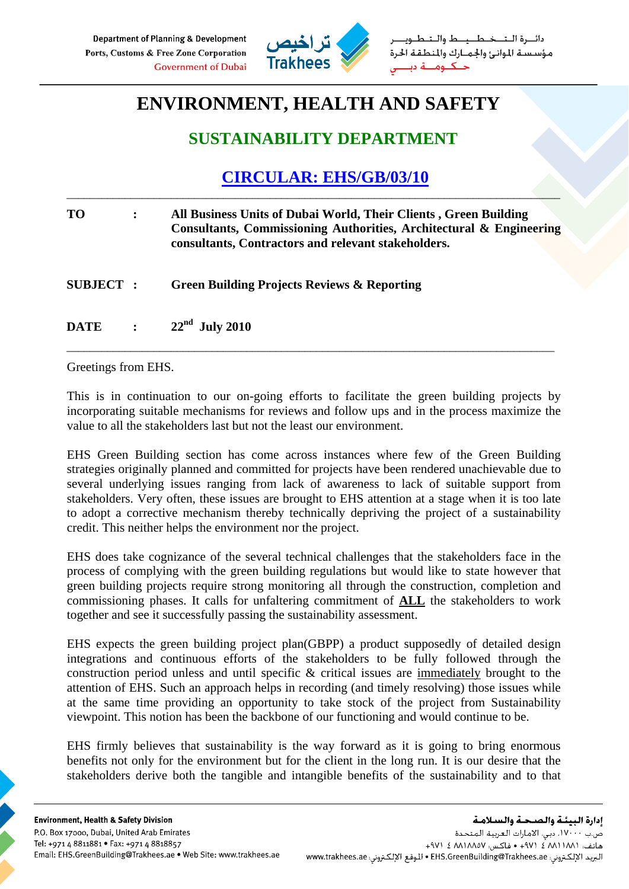

طــيــط والــتـ مؤسستة الموانئ والجمارك والمنطقة الحرة حنكنوم

## **ENVIRONMENT, HEALTH AND SAFETY**

## **SUSTAINABILITY DEPARTMENT**

## **CIRCULAR: EHS/GB/03/10**

\_\_\_\_\_\_\_\_\_\_\_\_\_\_\_\_\_\_\_\_\_\_\_\_\_\_\_\_\_\_\_\_\_\_\_\_\_\_\_\_\_\_\_\_\_\_\_\_\_\_\_\_\_\_\_\_\_\_\_\_\_\_\_\_\_\_\_\_\_\_\_\_\_\_\_\_\_\_\_\_\_\_\_\_\_

| <b>TO</b>       | All Business Units of Dubai World, Their Clients, Green Building<br>Consultants, Commissioning Authorities, Architectural & Engineering<br>consultants, Contractors and relevant stakeholders. |
|-----------------|------------------------------------------------------------------------------------------------------------------------------------------------------------------------------------------------|
| <b>SUBJECT:</b> | <b>Green Building Projects Reviews &amp; Reporting</b>                                                                                                                                         |
| <b>DATE</b>     | $\therefore$ 22 <sup>nd</sup> July 2010                                                                                                                                                        |

Greetings from EHS.

This is in continuation to our on-going efforts to facilitate the green building projects by incorporating suitable mechanisms for reviews and follow ups and in the process maximize the value to all the stakeholders last but not the least our environment.

\_\_\_\_\_\_\_\_\_\_\_\_\_\_\_\_\_\_\_\_\_\_\_\_\_\_\_\_\_\_\_\_\_\_\_\_\_\_\_\_\_\_\_\_\_\_\_\_\_\_\_\_\_\_\_\_\_\_\_\_\_\_\_\_\_\_\_\_\_\_\_\_\_\_\_\_\_\_\_\_\_\_\_\_

EHS Green Building section has come across instances where few of the Green Building strategies originally planned and committed for projects have been rendered unachievable due to several underlying issues ranging from lack of awareness to lack of suitable support from stakeholders. Very often, these issues are brought to EHS attention at a stage when it is too late to adopt a corrective mechanism thereby technically depriving the project of a sustainability credit. This neither helps the environment nor the project.

EHS does take cognizance of the several technical challenges that the stakeholders face in the process of complying with the green building regulations but would like to state however that green building projects require strong monitoring all through the construction, completion and commissioning phases. It calls for unfaltering commitment of **ALL** the stakeholders to work together and see it successfully passing the sustainability assessment.

EHS expects the green building project plan(GBPP) a product supposedly of detailed design integrations and continuous efforts of the stakeholders to be fully followed through the construction period unless and until specific & critical issues are immediately brought to the attention of EHS. Such an approach helps in recording (and timely resolving) those issues while at the same time providing an opportunity to take stock of the project from Sustainability viewpoint. This notion has been the backbone of our functioning and would continue to be.

EHS firmly believes that sustainability is the way forward as it is going to bring enormous benefits not only for the environment but for the client in the long run. It is our desire that the stakeholders derive both the tangible and intangible benefits of the sustainability and to that